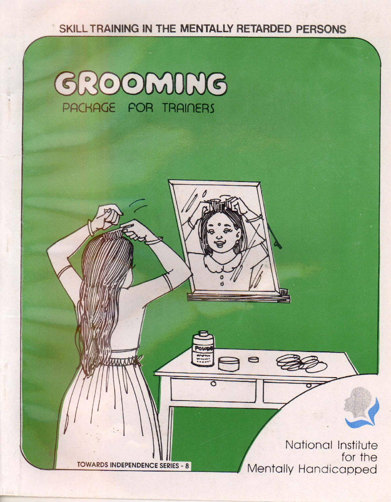SKILL TRAINING IN THE MENTALLY RETARDED PERSONS :...





 $\bullet$ 

TOWARDS INDEPENDENCE SERIES - 8

 $\left| \begin{array}{cc} 1 & 1 \\ 1 & 1 \end{array} \right|$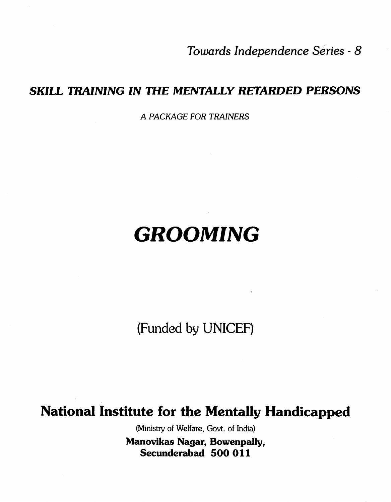Towards Independence Series - 8

## SKILL TRAINING IN THE MENTALLY RETARDED PERSONS

A PACKAGE FOR TRAINERS

# GROOMING

(Funded by UNICEF)

# National Institute for the Mentally Handicapped

(Ministry of Welfare, Govt. of India)

Manovikas Nagar, Bowenpally, Secunderabad 500 011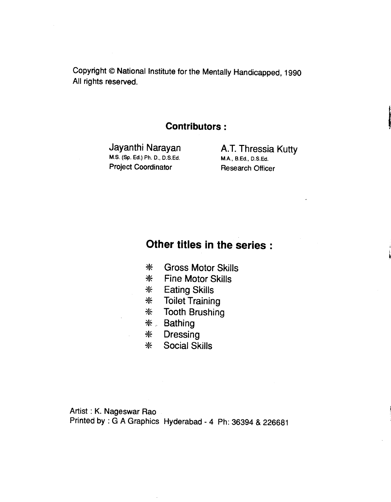Copyright © National Institute for the Mentally Handicapped, 1990 All rights reserved.

#### Contributors:

M.S. (Sp. Ed.) Ph. D., D.S.Ed. Project Coordinator Research Officer

Jayanthi Narayan **A.T. Thressia Kutty**<br>M.S. (Sp. Ed.) Ph. D., D.S.Ed. M.A., B.Ed., D.S.Ed.

### Other titles in the series:

- \* Gross Motor Skills
- \* Fine Motor Skills
- \* Eating Skills
- \* Toilet Training
- \* Tooth Brushing
- \*. Bathing
- \* Dressing
- \* Social Skills

Artist : K. Nageswar Rao Printed by : G A Graphics Hyderabad - 4 Ph: 36394 & 226681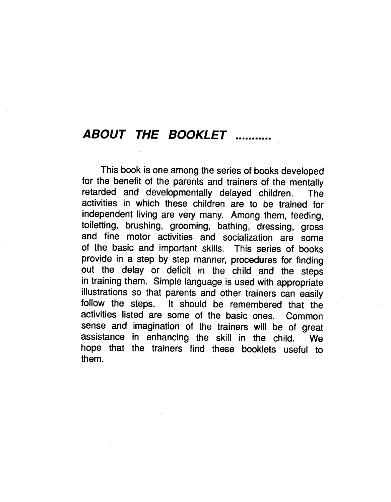## ABOUT THE BOOKLET ...........

This book is one among the series of books developed for the benefit of the parents and trainers of the mentally retarded and developmentally delayed children. The activities in which these children are to 'be trained for independent living are very many. Among them, feeding, toiletting, brushing, grooming, bathing, dressing, gross and fine motor activities and socialization are some of the basic and important skills. This series of books provide in a step by step manner, procedures for finding out the delay or deficit in the child and the steps in training them. Simple language is used with appropriate illustrations so that parents and other trainers can easily follow the steps. It should be remembered that the activities listed are some of the basic ones. Common sense and imagination of the trainers will be of great assistance in enhancing the skill in the child. We hope that the trainers find these booklets useful to them.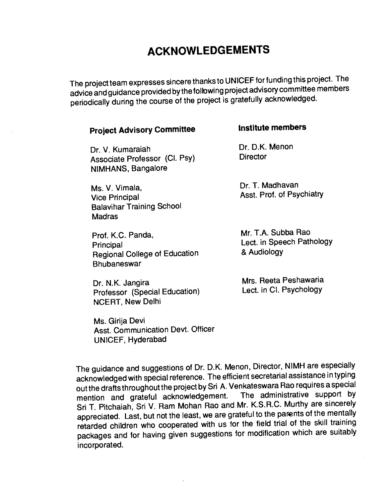# ACKNOWLEDGEMENTS

The project team expresses sincere thanks to UNICEF for funding this project. The advice and guidance provided by the foltowing project advisorycommittee members penodically during the course of the project is gratefully acknowledged.

#### Project Advisory Committee **institute members**

Dr. V. Kumaraiah Dr. D.K. Menon<br>Associate Professor (CL Psv) Director Associate Professor (Cl. Psy) NIMHANS, Bangalore

Ms. V. Vimala, The Controller Controller Dr. T. Madhavan Vice Principal **Asst.** Prof. of Psychiatry Balavihar Training School **Madras** 

Prof. K.C. Panda, Mr. T.A. Subba Rao Principal<br>
Principal College of Education<br>
Beginnal College of Education<br>
& Audiology Regional College of Education **Bhubaneswar** 

Dr. N.K. Jangira<br>
Professor (Special Education) Lect. in Cl. Psychology Professor (Special Education) NCERT, New Delhi

Ms. Girija Devi Asst. Communication Devt. Officer UNICEF, Hyderabad

The guidance and suggestions of Dr. D.K. Menon, Director, NIMH are especially acknowledged with special reference. The efficient secretarial assistance in typing out the drafts throughout the project by Sri A. Venkateswara Rao requires a special<br>mention and grateful acknowledgement. The administrative support by mention and grateful acknowledgement. Sri T. Pitchaiah, Sri V. Ram Mohan Rao and Mr. K.S.R.C. Murthy are sincerely appreciated. Last, but not the least, we are grateful to the parents of the mentally retarded children who cooperated with us for the field trial of the skill training packages and for having given suggestions for modification which are suitably incorporated.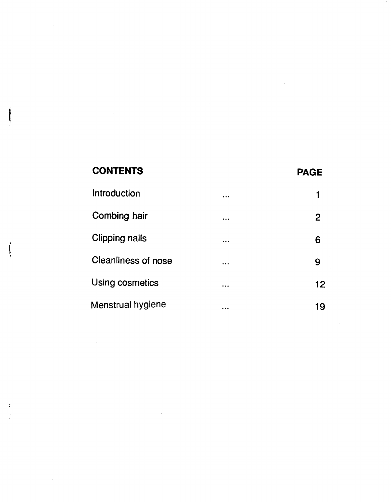# CONTENTS PAGE [Introduction](#page-6-0) and the control of the control of the control of the control of the control of the control of the control of the control of the control of the control of the control of the control of the control of the contro [Combing hair](#page-7-0) the combing hair the combing hair the combine of the combine of the combine of the combine of the combine of the combine of the combine of the combine of the combine of the combine of the combine of the combin [Clipping nails](#page-11-0) **6** and 10 million of the contract of the contract of the contract of the contract of the contract of the contract of the contract of the contract of the contract of the contract of the contract of the contr [Cleanliness of nose](#page-14-0) and the set of the set of the set of the set of the set of the set of the set of the set of the set of the set of the set of the set of the set of the set of the set of the set of the set of the set of [Using cosmetics](#page-17-0) and the cosmetics of the cosmetics of the cosmetic state of the cosmetic state of the cosmetic [Menstrual hygiene](#page-24-0) and many control of the 19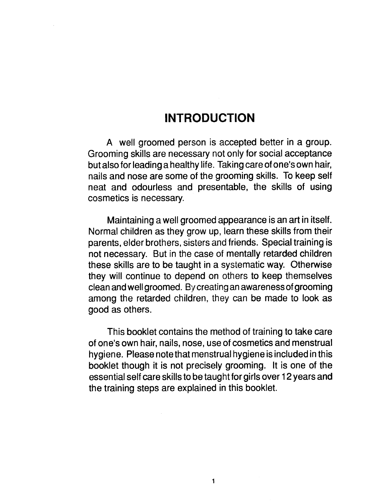## **INTRODUCTION**

<span id="page-6-0"></span>A well groomed person is accepted better in a group. Grooming skills are necessary not only for social acceptance but also for leading a healthy life. Taking care of one's own hair, nails and nose are some of the grooming skills. To keep self neat and odourless and presentable, the skills of using cosmetics is necessary.

Maintaining a well groomed appearance is an art in itself. Normal children as they grow up, learn these skills from their parents, elder brothers, sisters and friends. Special training is not necessary. But in the case of mentally retarded children these skills are to be taught in a systematic way. Otherwise they will continue to depend on others to keep themselves clean and well groomed. By creating an awareness of grooming among the retarded children, they can be made to look as good as others.

This booklet contains the method of training to take care of one's own hair, nails, nose, use of cosmetics and menstrual hygiene. Please notethat menstrual hygiene is included in this booklet though it is not precisely grooming. It is one of the essential self care skills to be taught for girls over 12 years and the training steps are explained in this booklet.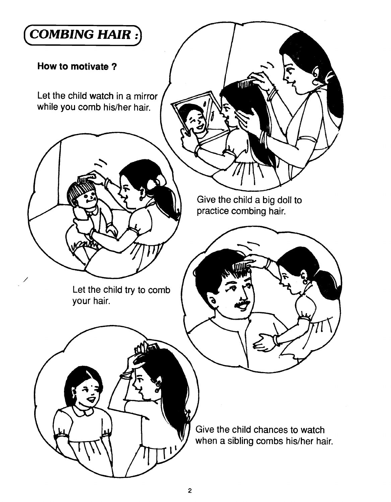<span id="page-7-0"></span>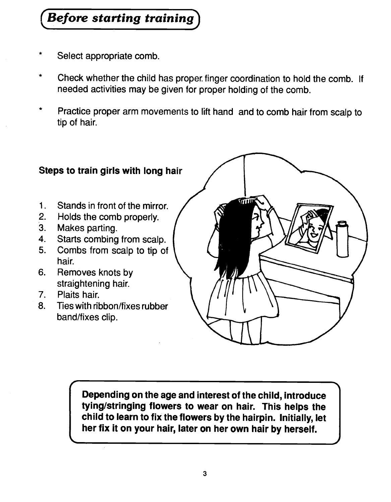# Before starting training

- Select appropriate comb.
- Check whether the child has proper finger coordination to hold the comb. If needed activities may be given for proper holding of the comb.
- Practice proper arm movements to lift hand and to comb hair from scalp to tip of hair.



Depending on the age and interest of the child, introduce tying/stringing flowers to wear on hair. This helps the child to learn to fix the flowers by the hairpin, Initially, let her fix it on your hair, later on her own hair by herself.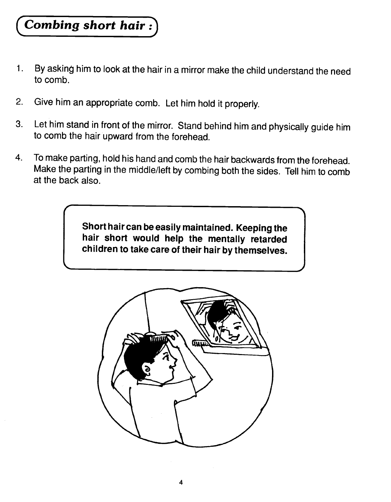# Combing short hair

 $\blacksquare$ 

- 1. By asking him to look at the hair in a mirror make the child understand the need to comb.
- 2. Give him an appropriate comb. Let him hold it properly.
- 3. Let him stand in front of the mirror. Stand behind him and physically guide him to comb the hair upward from the forehead.
- 4. To make parting, hold his hand and comb the hair backwards from the forehead. Make the parting in the middle/left by combing both the sides. Tell him to comb at the back also.

Short hair can be easily maintained. Keeping the hair short would help the mentally retarded children to take care of their hair by themselves.

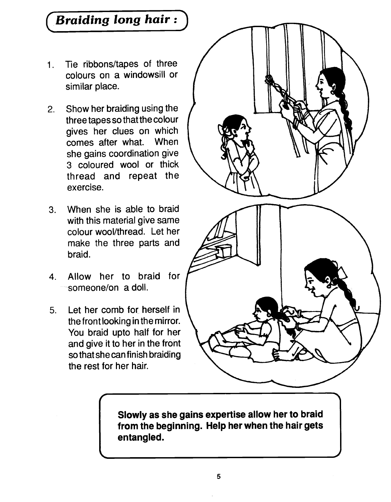# Braiding long hair :

- Tie ribbons/tapes of three  $1.$ colours on a windowsill or similar place.
- 2. Show her braiding using the three tapes so that the colour gives her clues on which comes after what. When she gains coordination give 3 coloured wool or thick thread and repeat the exercise.
- 3. When she is able to braid with this material give same colour wool/thread. Let her make the three parts and braid.
- 4. Allow her to braid for  $f$ someone/on a doll.
- 5. Let her comb for herself in the front looking in the mirror. You braid upto half for her and give it to her in the front so that she can finish braiding the rest for her hair.



Slowly as she gains expertise allow her to braid from the beginning. Help her when the hair gets entangled.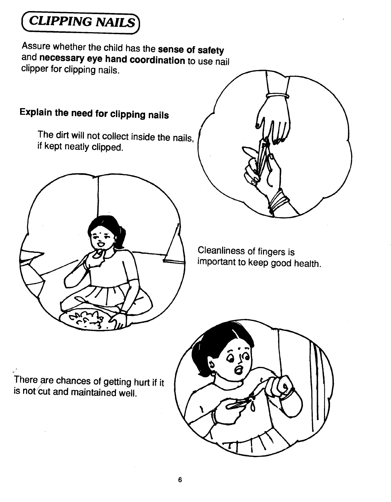<span id="page-11-0"></span>**CLIPPING NAILS** 

Assure whether the child has the sense of safety and necessary eye hand coordination to use nail clipper for clipping nails.

# Explain the need for clipping nails

The dirt will not collect inside the nails, if kept neatly clipped.





Cleanliness of fingers is important to keep good health.

There are chances of getting hurt if it is not cut and maintained well.

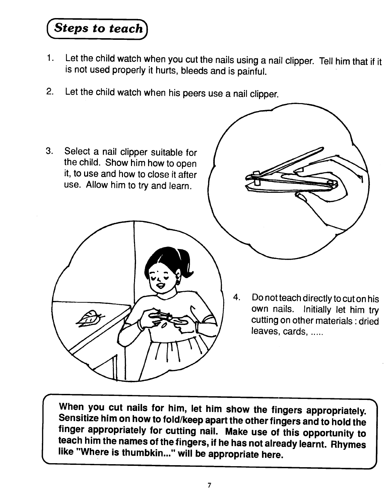Steps to teach

- 1. Let the child watch when you cut the nails using a nail clipper. Tell him that if it is not used properly it hurts, bleeds and is painful.
- 2. Let the child watch when his peers use a nail clipper.



When you cut nails for him, let him show the fingers appropriately. Sensitize him on how to fold/keepapart the other fingers and to hold the finger appropriately for cutting nail. Make use of this opportunity to teach him the names of the fingers, if he has not already learnt. Rhymes like "Where is thumbkin..." will be appropriate here.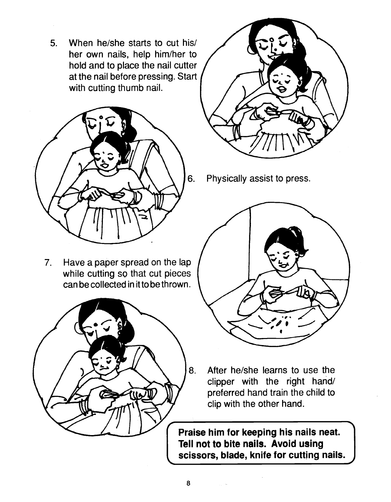5. When he/she starts to cut his/ her own nails, help him/her to hold and to place the nail cutter at the nail before pressing. Start with cutting thumb nail.



7. Have a paper spread on the lap while cutting so that cut pieces can be collected in it to be thrown.





6. Physically assist to press.



8. After he/she learns to use the clipper with the right hand/ preferred hand train the child to clip with the other hand.

Tell not to bite i<br>scissors, blade Praise him for keeping his nails neat. Tell not to bite nails. Avoid using scissors, blade, knife for cutting nails.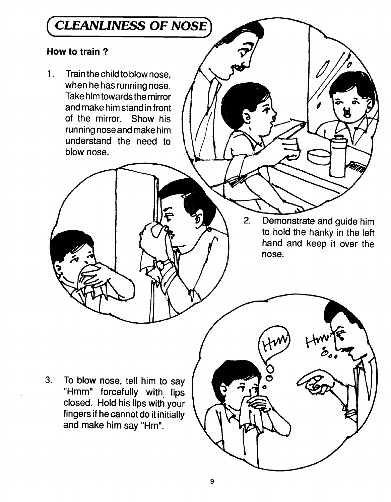# <span id="page-14-0"></span>CLEANLINESS OF NOSE

#### How to train?

Train the child to blow nose,  $1.$ when he has running nose. Take him towards the mirror and make him stand in front of the mirror. Show his running nose and make him understand the need to blow nose.

> 2. Demonstrate and guide him to hold the hanky in the left hand and keep it over the nose.

怎

3. To blow nose, tell him to say "Hmm" forcefully with lips closed. Hold his lips with your fingers if he cannot do it initially and make him say "Hm".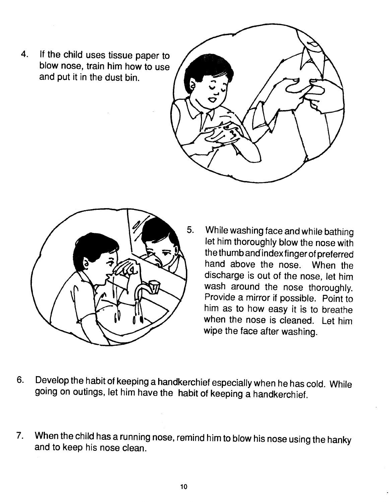4. If the child uses tissue paper to blow nose, train him how to use and put it in the dust bin.





- 5. While washing face and while bathing let him thoroughly blow the nose with the thumb and index finger of preferred hand above the nose. When the discharge is out of the nose, let him wash around the nose thoroughly. Provide a mirror if possible. Point to him as to how easy it is to breathe when the nose is cleaned. Let him wipe the face after washing.
- 6. Develop the habit of keeping a handkerchief especially when he has cold. While going on outings, let him have the habit of keeping a handkerchief.
- 7. When the child has a running nose, remind him to blow his nose using the hanky and to keep his nose clean.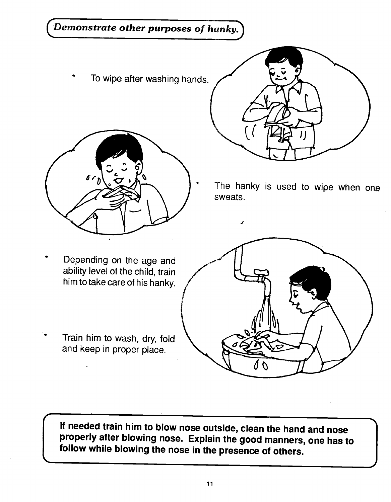# Demonstrate other purposes of hanky.

To wipe after washing hands.





The hanky is used to wipe when one sweats.

- Depending on the age and ability level of the child, train him to take care of his hanky.
- Train him to wash, dry, fold and keep in proper place.



J

properly after b<br>follow while blo If needed train him to blow nose outside, clean the hand and nose properly after blowing nose. Explain the good manners, one has to follow while blowing the nose in the presence of others.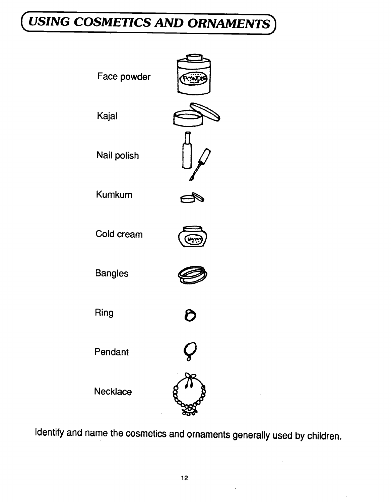# <span id="page-17-0"></span>USING COSMETICS AND ORNAMENTS



Identify and name the cosmetics and ornaments generally used by children.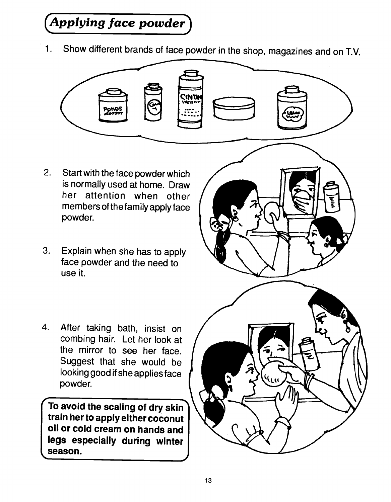# Applying face powder)

1. Show different brands of face powder in the shop, magazines and on T.V.



- 2. Start with the face powder which is normally used at home. Draw her attention when other members of the family apply face powder.
- 3. Explain when she has to apply face powder and the need to use it.



4. After taking bath, insist on combing hair. Let her look at the mirror to see her face. Suggest that she would be looking good if she applies face powder.

To avoid the scaling of dry skin train her to apply either coconut oil or cold cream on hands and legs especially during winter season.

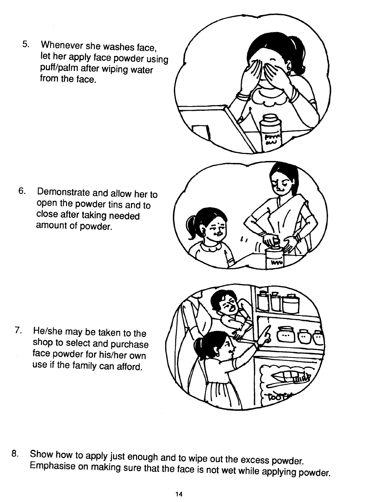5. Whenever she washes face, let her apply face powder using puff/palm after wiping water from the face.



6. Demonstrate and allow her to open the powder tins and to close after taking needed amount of powder.

7. He/she may be taken to the

shop to select and purchase face powder for his/her own use if the family can afford.

- 
- 8. Show how to apply just enough and to wipe out the excess powder. Emphasise on making sure that the face is not wet while applying powder.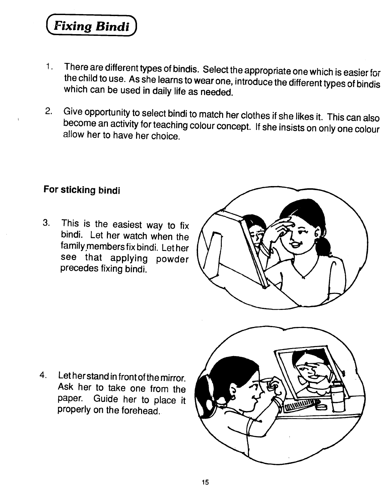**Fixing Bindi** 

- 1. There are different types of bindis. Select the appropriate one which is easier for the child to use. As she learns to wear one, introduce the different types of bindis which can be used in daily life as needed.
- 2. Give opportunity to select bindi to match her clothes if she likes it. This can also become an activity for teaching colour concept. If she insists on only one colour allow her to have her choice.

#### For sticking bindi

3. This is the easiest way to fix bindi. Let her watch when the family members fix bindi. Let her see that applying powder precedes fixing bindi.



4. Let her stand in front of the mirror. Ask her to take one from the paper. Guide her to place it properly on the forehead.

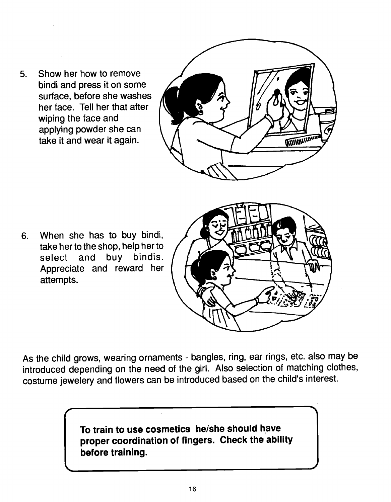5. Show her how to remove bindi and press it on some surface, before she washes her face. Tell her that after wiping the face and applying powder she can take it and wear it again.

 $\sim$ 



6. When she has to buy bindi, take her to the shop, help her to select and buy bindis. Appreciate and reward her attempts.



As the child grows, wearing ornaments - bangles, ring, ear rings, etc. also may be introduced depending on the need of the girl. Also selection of matching clothes, costume jewelery and flowers can be introduced based on the child's interest.

> To train to use cosmetics he/she should have proper coordination of fingers. Check the ability before training.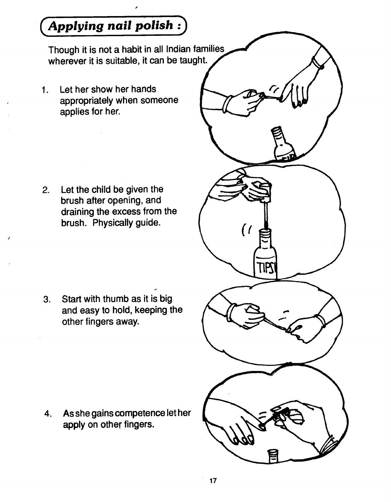# Applying nail polish)

Though it is not a habit in all Indian families wherever it is suitable, it can be taught.

1. Let her show her hands appropriately when someone applies for her.

2. Let the child be given the brush after opening, and draining the excess from the brush. Physically guide.

3. Start with thumb as it is big and easy to hold, keeping the other fingers away.

4. As she gains competence let her apply on other fingers.

 $\overline{(\ }$ 

TIPS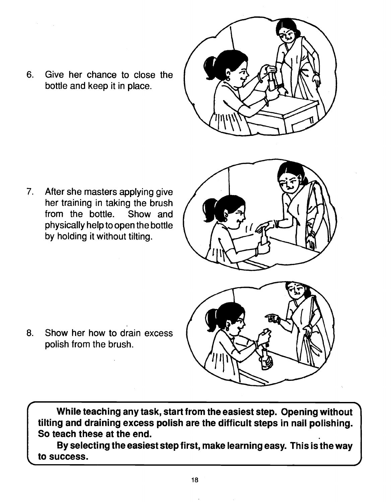

6. Give her chance to close the bottle and keep it in place.

7. After she masters applying give her training in taking the brush from the bottle. Show and physically help to open the bottle by holding it without tilting.





8. Show her how to drain excess polish from the brush.

While teaching any task, start from the easiest step. Opening without tilting and draining excess polish are the difficult steps in nail polishing. So teach these at the end.

By selecting the easiest step first, make learning easy. This is the way to success.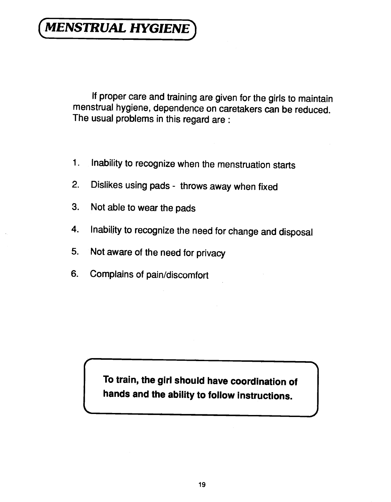# <span id="page-24-0"></span>**MENSTRUAL HYGIENE**

If proper care and training are given for the girls to maintain menstrual hygiene, dependence on caretakers can be reduced. The usual problems in this regard are:

- 1. Inability to recognize when the menstruation starts
- 2. Dislikes using pads throws away when fixed
- 3. Not able to wear the pads
- 4. Inability to recognize the need for change and disposal
- 5. Not aware of the need for privacy
- 6. Complains of pain/discomfort

To train, the girl should have coordination of hands and the ability to follow instructions.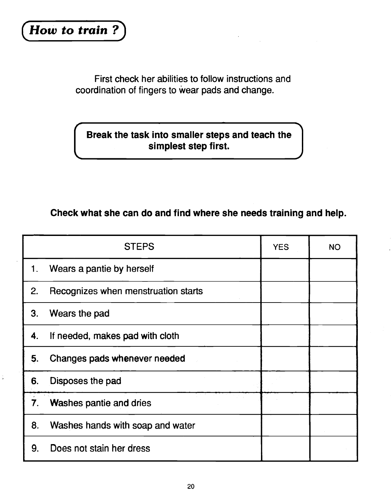First check her abilities to follow instructions and coordination of fingers to wear pads and change.

#### Break the task into smaller steps and teach the simplest step first.

#### Check what she can do and find where she needs training and help.

|    | <b>STEPS</b>                        | <b>YES</b> | <b>NO</b> |  |
|----|-------------------------------------|------------|-----------|--|
| 1. | Wears a pantie by herself           |            |           |  |
| 2. | Recognizes when menstruation starts |            |           |  |
| 3. | Wears the pad                       |            |           |  |
| 4. | If needed, makes pad with cloth     |            |           |  |
| 5. | Changes pads whenever needed        |            |           |  |
| 6. | Disposes the pad                    |            |           |  |
| 7. | <b>Washes pantie and dries</b>      |            |           |  |
| 8. | Washes hands with soap and water    |            |           |  |
| 9. | Does not stain her dress            |            |           |  |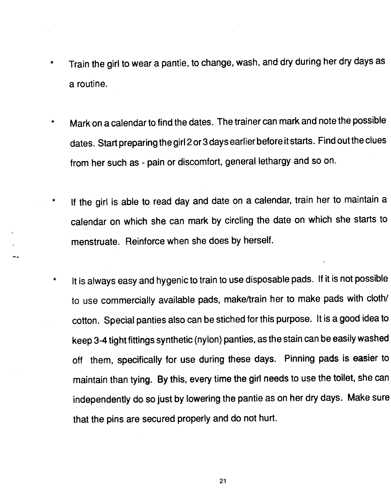- \* Train the girl to wear a pantie, to change, wash, and dry during her dry days as a routine.
- Mark on a calendar to find the dates. The trainer can mark and note the possible dates. Start preparing the girl 2 or 3 days earlier before it starts. Find out theclues from her such as - pain or discomfort, general lethargy and so on.
- \* If the girl is able to read day and date on a calendar, train her to maintain a calendar on which she can mark by circling the date on which she starts to menstruate. Reinforce when she does by herself.
- \* It is always easy and hygenic to train to use disposable pads. If it is not possible to use commercially available pads, make/train her to make pads with cloth/ cotton. Special panties also can be stiched for this purpose. It is a good idea to keep 3-4 tight fittings synthetic (nylon) panties, as the stain can be easilywashed off them, specifically for use during these days. Pinning pads is easier to maintain than tying. By this, every time the girl needs to use the toilet, she can independently do so just by lowering the pantie as on her dry days. Make sure that the pins are secured properly and do not hurt.

21